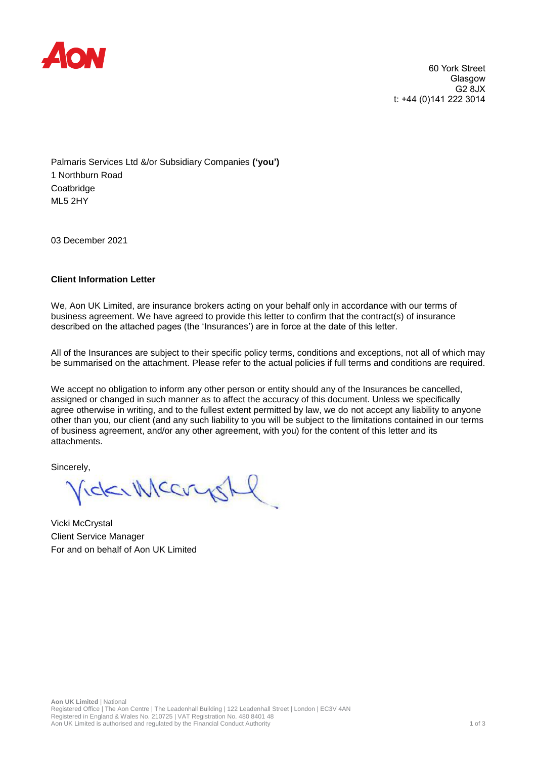

60 York Street Glasgow G2 8JX t: +44 (0)141 222 3014

Palmaris Services Ltd &/or Subsidiary Companies **('you')** 1 Northburn Road **Coatbridge** ML5 2HY

03 December 2021

## **Client Information Letter**

We, Aon UK Limited, are insurance brokers acting on your behalf only in accordance with our terms of business agreement. We have agreed to provide this letter to confirm that the contract(s) of insurance described on the attached pages (the 'Insurances') are in force at the date of this letter.

All of the Insurances are subject to their specific policy terms, conditions and exceptions, not all of which may be summarised on the attachment. Please refer to the actual policies if full terms and conditions are required.

We accept no obligation to inform any other person or entity should any of the Insurances be cancelled, assigned or changed in such manner as to affect the accuracy of this document. Unless we specifically agree otherwise in writing, and to the fullest extent permitted by law, we do not accept any liability to anyone other than you, our client (and any such liability to you will be subject to the limitations contained in our terms of business agreement, and/or any other agreement, with you) for the content of this letter and its attachments.

Sincerely,

VickerMccoyst

Vicki McCrystal Client Service Manager For and on behalf of Aon UK Limited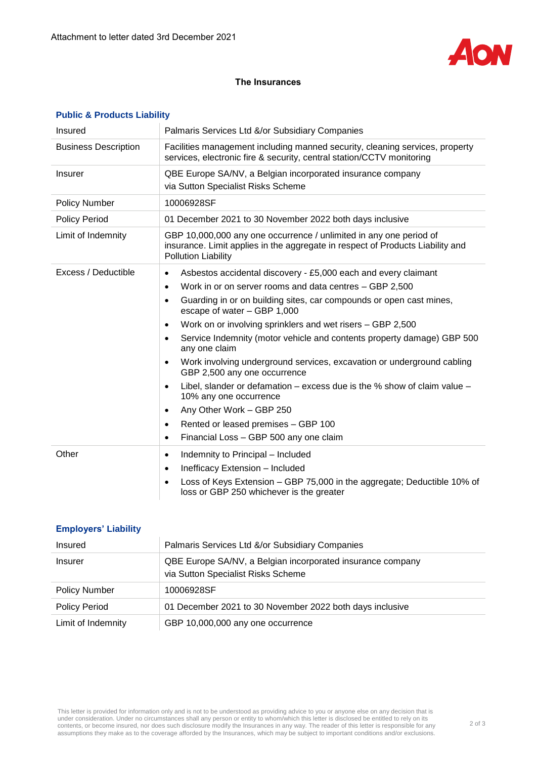

## **The Insurances**

| Insured                     | Palmaris Services Ltd &/or Subsidiary Companies                                                                                                                                    |  |
|-----------------------------|------------------------------------------------------------------------------------------------------------------------------------------------------------------------------------|--|
| <b>Business Description</b> | Facilities management including manned security, cleaning services, property<br>services, electronic fire & security, central station/CCTV monitoring                              |  |
| <b>Insurer</b>              | QBE Europe SA/NV, a Belgian incorporated insurance company<br>via Sutton Specialist Risks Scheme                                                                                   |  |
| <b>Policy Number</b>        | 10006928SF                                                                                                                                                                         |  |
| <b>Policy Period</b>        | 01 December 2021 to 30 November 2022 both days inclusive                                                                                                                           |  |
| Limit of Indemnity          | GBP 10,000,000 any one occurrence / unlimited in any one period of<br>insurance. Limit applies in the aggregate in respect of Products Liability and<br><b>Pollution Liability</b> |  |
| Excess / Deductible         | Asbestos accidental discovery - £5,000 each and every claimant<br>$\bullet$                                                                                                        |  |
|                             | Work in or on server rooms and data centres - GBP 2,500<br>$\bullet$                                                                                                               |  |
|                             | Guarding in or on building sites, car compounds or open cast mines,<br>$\bullet$<br>escape of water - GBP 1,000                                                                    |  |
|                             | Work on or involving sprinklers and wet risers - GBP 2,500<br>$\bullet$                                                                                                            |  |
|                             | Service Indemnity (motor vehicle and contents property damage) GBP 500<br>$\bullet$<br>any one claim                                                                               |  |
|                             | Work involving underground services, excavation or underground cabling<br>$\bullet$<br>GBP 2,500 any one occurrence                                                                |  |
|                             | Libel, slander or defamation $-$ excess due is the % show of claim value $-$<br>$\bullet$<br>10% any one occurrence                                                                |  |
|                             | Any Other Work - GBP 250<br>$\bullet$                                                                                                                                              |  |
|                             | Rented or leased premises - GBP 100<br>$\bullet$                                                                                                                                   |  |
|                             | Financial Loss - GBP 500 any one claim<br>$\bullet$                                                                                                                                |  |
| Other                       | Indemnity to Principal - Included<br>$\bullet$                                                                                                                                     |  |
|                             | Inefficacy Extension - Included<br>$\bullet$                                                                                                                                       |  |
|                             | Loss of Keys Extension - GBP 75,000 in the aggregate; Deductible 10% of<br>$\bullet$<br>loss or GBP 250 whichever is the greater                                                   |  |

## **Public & Products Liability**

|  |  | <b>Employers' Liability</b> |
|--|--|-----------------------------|
|--|--|-----------------------------|

| Insured              | Palmaris Services Ltd &/or Subsidiary Companies                                                  |  |
|----------------------|--------------------------------------------------------------------------------------------------|--|
| Insurer              | QBE Europe SA/NV, a Belgian incorporated insurance company<br>via Sutton Specialist Risks Scheme |  |
| <b>Policy Number</b> | 10006928SF                                                                                       |  |
| <b>Policy Period</b> | 01 December 2021 to 30 November 2022 both days inclusive                                         |  |
| Limit of Indemnity   | GBP 10,000,000 any one occurrence                                                                |  |